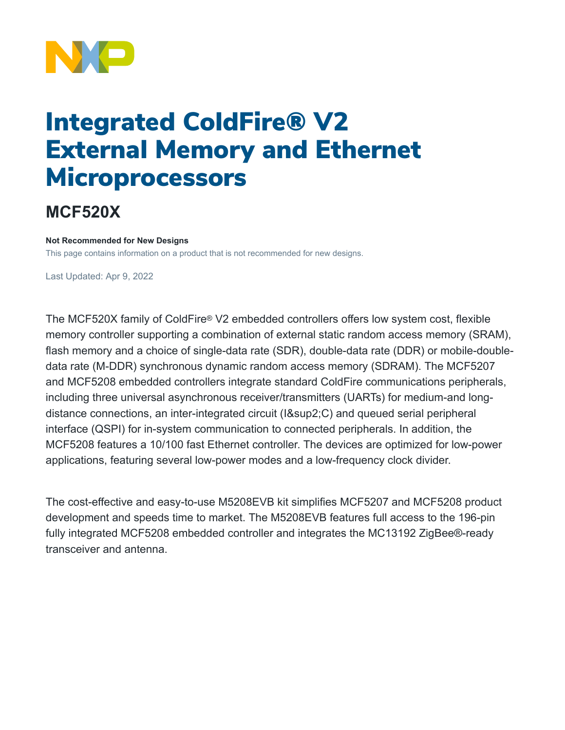

## Integrated ColdFire® V2 External Memory and Ethernet **Microprocessors**

## **MCF520X**

## **Not Recommended for New Designs**

This page contains information on a product that is not recommended for new designs.

Last Updated: Apr 9, 2022

The MCF520X family of ColdFire® V2 embedded controllers offers low system cost, flexible memory controller supporting a combination of external static random access memory (SRAM), flash memory and a choice of single-data rate (SDR), double-data rate (DDR) or mobile-doubledata rate (M-DDR) synchronous dynamic random access memory (SDRAM). The MCF5207 and MCF5208 embedded controllers integrate standard ColdFire communications peripherals, including three universal asynchronous receiver/transmitters (UARTs) for medium-and longdistance connections, an inter-integrated circuit (I²C) and queued serial peripheral interface (QSPI) for in-system communication to connected peripherals. In addition, the MCF5208 features a 10/100 fast Ethernet controller. The devices are optimized for low-power applications, featuring several low-power modes and a low-frequency clock divider.

The cost-effective and easy-to-use M5208EVB kit simplifies MCF5207 and MCF5208 product development and speeds time to market. The M5208EVB features full access to the 196-pin fully integrated MCF5208 embedded controller and integrates the MC13192 ZigBee®-ready transceiver and antenna.